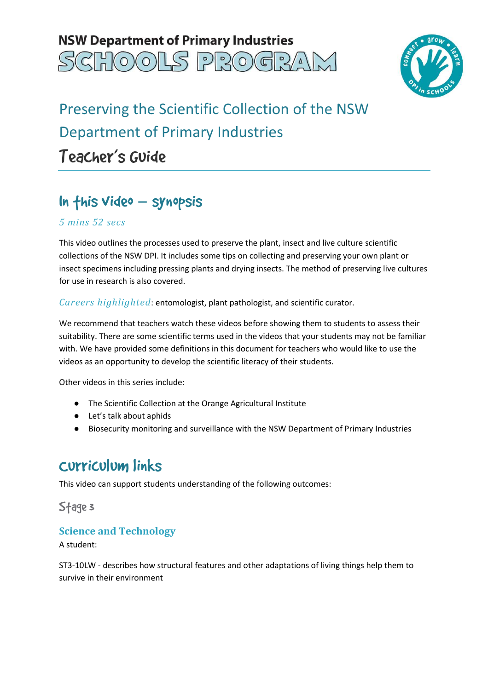# **NSW Department of Primary Industries** GHOOLS PROGRAN



# Preserving the Scientific Collection of the NSW Department of Primary Industries Teacher's Guide

# In this video – synopsis

### *5 mins 52 secs*

 This video outlines the processes used to preserve the plant, insect and live culture scientific collections of the NSW DPI. It includes some tips on collecting and preserving your own plant or insect specimens including pressing plants and drying insects. The method of preserving live cultures for use in research is also covered.

*Careers highlighted*: entomologist, plant pathologist, and scientific curator.

 We recommend that teachers watch these videos before showing them to students to assess their suitability. There are some scientific terms used in the videos that your students may not be familiar with. We have provided some definitions in this document for teachers who would like to use the videos as an opportunity to develop the scientific literacy of their students.

Other videos in this series include:

- The Scientific Collection at the Orange Agricultural Institute
- Let's talk about aphids
- Biosecurity monitoring and surveillance with the NSW Department of Primary Industries

## Curriculum links

This video can support students understanding of the following outcomes:

Stage 3

## **Science and Technology**

A student:

 ST3-10LW - describes how structural features and other adaptations of living things help them to survive in their environment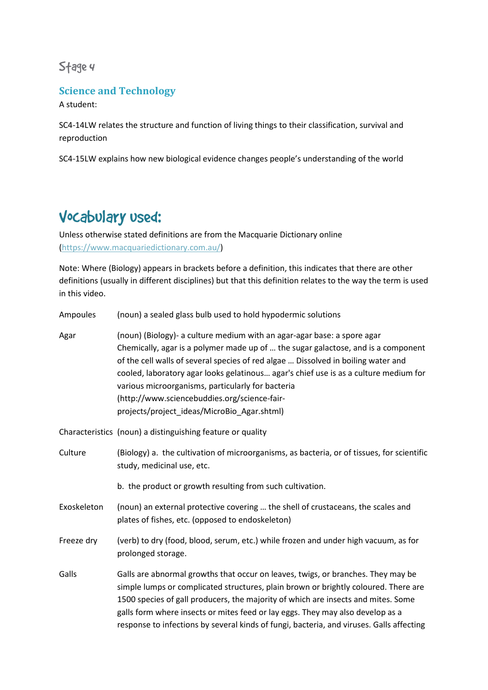## Stage 4

## **Science and Technology**

A student:

 SC4-14LW relates the structure and function of living things to their classification, survival and reproduction

reproduction<br>SC4-15LW explains how new biological evidence changes people's understanding of the world

## Vocabulary used:

 Unless otherwise stated definitions are from the Macquarie Dictionary online (https://www.macquariedictionary.com.au/)

 Note: Where (Biology) appears in brackets before a definition, this indicates that there are other definitions (usually in different disciplines) but that this definition relates to the way the term is used in this video.

| Ampoules    | (noun) a sealed glass bulb used to hold hypodermic solutions                                                                                                                                                                                                                                                                                                                                                                                                                                  |
|-------------|-----------------------------------------------------------------------------------------------------------------------------------------------------------------------------------------------------------------------------------------------------------------------------------------------------------------------------------------------------------------------------------------------------------------------------------------------------------------------------------------------|
| Agar        | (noun) (Biology)- a culture medium with an agar-agar base: a spore agar<br>Chemically, agar is a polymer made up of  the sugar galactose, and is a component<br>of the cell walls of several species of red algae  Dissolved in boiling water and<br>cooled, laboratory agar looks gelatinous agar's chief use is as a culture medium for<br>various microorganisms, particularly for bacteria<br>(http://www.sciencebuddies.org/science-fair-<br>projects/project_ideas/MicroBio_Agar.shtml) |
|             | Characteristics (noun) a distinguishing feature or quality                                                                                                                                                                                                                                                                                                                                                                                                                                    |
| Culture     | (Biology) a. the cultivation of microorganisms, as bacteria, or of tissues, for scientific<br>study, medicinal use, etc.                                                                                                                                                                                                                                                                                                                                                                      |
|             | b. the product or growth resulting from such cultivation.                                                                                                                                                                                                                                                                                                                                                                                                                                     |
| Exoskeleton | (noun) an external protective covering  the shell of crustaceans, the scales and<br>plates of fishes, etc. (opposed to endoskeleton)                                                                                                                                                                                                                                                                                                                                                          |
| Freeze dry  | (verb) to dry (food, blood, serum, etc.) while frozen and under high vacuum, as for<br>prolonged storage.                                                                                                                                                                                                                                                                                                                                                                                     |
| Galls       | Galls are abnormal growths that occur on leaves, twigs, or branches. They may be<br>simple lumps or complicated structures, plain brown or brightly coloured. There are<br>1500 species of gall producers, the majority of which are insects and mites. Some<br>galls form where insects or mites feed or lay eggs. They may also develop as a<br>response to infections by several kinds of fungi, bacteria, and viruses. Galls affecting                                                    |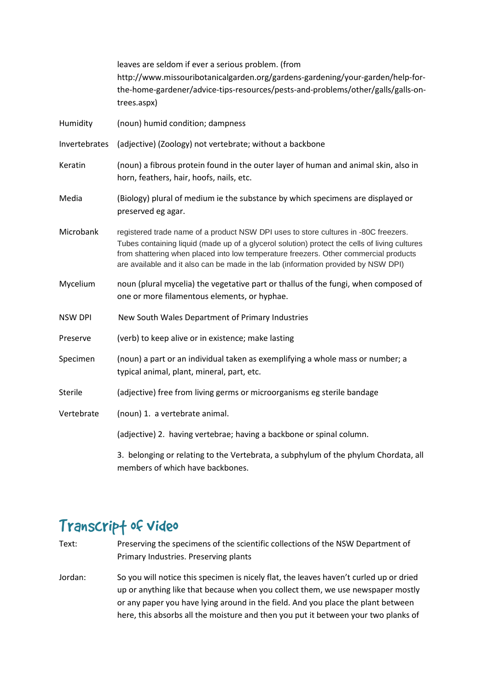|                | leaves are seldom if ever a serious problem. (from<br>http://www.missouribotanicalgarden.org/gardens-gardening/your-garden/help-for-<br>the-home-gardener/advice-tips-resources/pests-and-problems/other/galls/galls-on-<br>trees.aspx)                                                                                                                            |
|----------------|--------------------------------------------------------------------------------------------------------------------------------------------------------------------------------------------------------------------------------------------------------------------------------------------------------------------------------------------------------------------|
| Humidity       | (noun) humid condition; dampness                                                                                                                                                                                                                                                                                                                                   |
| Invertebrates  | (adjective) (Zoology) not vertebrate; without a backbone                                                                                                                                                                                                                                                                                                           |
| Keratin        | (noun) a fibrous protein found in the outer layer of human and animal skin, also in<br>horn, feathers, hair, hoofs, nails, etc.                                                                                                                                                                                                                                    |
| Media          | (Biology) plural of medium ie the substance by which specimens are displayed or<br>preserved eg agar.                                                                                                                                                                                                                                                              |
| Microbank      | registered trade name of a product NSW DPI uses to store cultures in -80C freezers.<br>Tubes containing liquid (made up of a glycerol solution) protect the cells of living cultures<br>from shattering when placed into low temperature freezers. Other commercial products<br>are available and it also can be made in the lab (information provided by NSW DPI) |
| Mycelium       | noun (plural mycelia) the vegetative part or thallus of the fungi, when composed of<br>one or more filamentous elements, or hyphae.                                                                                                                                                                                                                                |
| <b>NSW DPI</b> | New South Wales Department of Primary Industries                                                                                                                                                                                                                                                                                                                   |
| Preserve       | (verb) to keep alive or in existence; make lasting                                                                                                                                                                                                                                                                                                                 |
| Specimen       | (noun) a part or an individual taken as exemplifying a whole mass or number; a<br>typical animal, plant, mineral, part, etc.                                                                                                                                                                                                                                       |
| <b>Sterile</b> | (adjective) free from living germs or microorganisms eg sterile bandage                                                                                                                                                                                                                                                                                            |
| Vertebrate     | (noun) 1. a vertebrate animal.                                                                                                                                                                                                                                                                                                                                     |
|                | (adjective) 2. having vertebrae; having a backbone or spinal column.                                                                                                                                                                                                                                                                                               |
|                | 3. belonging or relating to the Vertebrata, a subphylum of the phylum Chordata, all<br>members of which have backbones.                                                                                                                                                                                                                                            |

## Transcrip† of video

- Text: Primary Industries. Preserving plants Preserving the specimens of the scientific collections of the NSW Department of
- Jordan: up or anything like that because when you collect them, we use newspaper mostly or any paper you have lying around in the field. And you place the plant between here, this absorbs all the moisture and then you put it between your two planks of So you will notice this specimen is nicely flat, the leaves haven't curled up or dried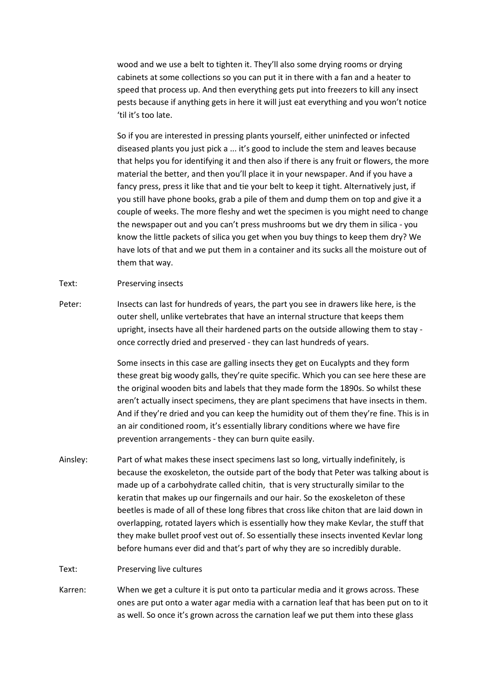wood and we use a belt to tighten it. They'll also some drying rooms or drying cabinets at some collections so you can put it in there with a fan and a heater to speed that process up. And then everything gets put into freezers to kill any insect pests because if anything gets in here it will just eat everything and you won't notice 'til it's too late.

 So if you are interested in pressing plants yourself, either uninfected or infected diseased plants you just pick a ... it's good to include the stem and leaves because that helps you for identifying it and then also if there is any fruit or flowers, the more material the better, and then you'll place it in your newspaper. And if you have a fancy press, press it like that and tie your belt to keep it tight. Alternatively just, if you still have phone books, grab a pile of them and dump them on top and give it a couple of weeks. The more fleshy and wet the specimen is you might need to change the newspaper out and you can't press mushrooms but we dry them in silica - you know the little packets of silica you get when you buy things to keep them dry? We have lots of that and we put them in a container and its sucks all the moisture out of them that way.

### Text: Preserving insects

Peter: outer shell, unlike vertebrates that have an internal structure that keeps them upright, insects have all their hardened parts on the outside allowing them to stay - once correctly dried and preserved - they can last hundreds of years. Insects can last for hundreds of years, the part you see in drawers like here, is the

> Some insects in this case are galling insects they get on Eucalypts and they form these great big woody galls, they're quite specific. Which you can see here these are the original wooden bits and labels that they made form the 1890s. So whilst these aren't actually insect specimens, they are plant specimens that have insects in them. And if they're dried and you can keep the humidity out of them they're fine. This is in an air conditioned room, it's essentially library conditions where we have fire prevention arrangements - they can burn quite easily.

Ainsley: because the exoskeleton, the outside part of the body that Peter was talking about is made up of a carbohydrate called chitin, that is very structurally similar to the keratin that makes up our fingernails and our hair. So the exoskeleton of these beetles is made of all of these long fibres that cross like chiton that are laid down in overlapping, rotated layers which is essentially how they make Kevlar, the stuff that they make bullet proof vest out of. So essentially these insects invented Kevlar long before humans ever did and that's part of why they are so incredibly durable. Part of what makes these insect specimens last so long, virtually indefinitely, is

#### Text: Preserving live cultures

Karren: ones are put onto a water agar media with a carnation leaf that has been put on to it as well. So once it's grown across the carnation leaf we put them into these glass When we get a culture it is put onto ta particular media and it grows across. These